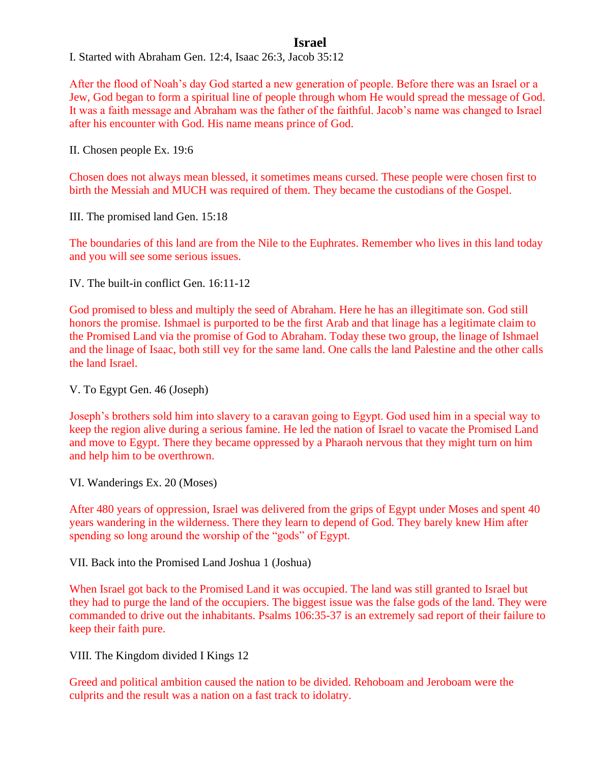## **Israel**

I. Started with Abraham Gen. 12:4, Isaac 26:3, Jacob 35:12

After the flood of Noah's day God started a new generation of people. Before there was an Israel or a Jew, God began to form a spiritual line of people through whom He would spread the message of God. It was a faith message and Abraham was the father of the faithful. Jacob's name was changed to Israel after his encounter with God. His name means prince of God.

II. Chosen people Ex. 19:6

Chosen does not always mean blessed, it sometimes means cursed. These people were chosen first to birth the Messiah and MUCH was required of them. They became the custodians of the Gospel.

III. The promised land Gen. 15:18

The boundaries of this land are from the Nile to the Euphrates. Remember who lives in this land today and you will see some serious issues.

IV. The built-in conflict Gen. 16:11-12

God promised to bless and multiply the seed of Abraham. Here he has an illegitimate son. God still honors the promise. Ishmael is purported to be the first Arab and that linage has a legitimate claim to the Promised Land via the promise of God to Abraham. Today these two group, the linage of Ishmael and the linage of Isaac, both still vey for the same land. One calls the land Palestine and the other calls the land Israel.

V. To Egypt Gen. 46 (Joseph)

Joseph's brothers sold him into slavery to a caravan going to Egypt. God used him in a special way to keep the region alive during a serious famine. He led the nation of Israel to vacate the Promised Land and move to Egypt. There they became oppressed by a Pharaoh nervous that they might turn on him and help him to be overthrown.

VI. Wanderings Ex. 20 (Moses)

After 480 years of oppression, Israel was delivered from the grips of Egypt under Moses and spent 40 years wandering in the wilderness. There they learn to depend of God. They barely knew Him after spending so long around the worship of the "gods" of Egypt.

VII. Back into the Promised Land Joshua 1 (Joshua)

When Israel got back to the Promised Land it was occupied. The land was still granted to Israel but they had to purge the land of the occupiers. The biggest issue was the false gods of the land. They were commanded to drive out the inhabitants. Psalms 106:35-37 is an extremely sad report of their failure to keep their faith pure.

VIII. The Kingdom divided I Kings 12

Greed and political ambition caused the nation to be divided. Rehoboam and Jeroboam were the culprits and the result was a nation on a fast track to idolatry.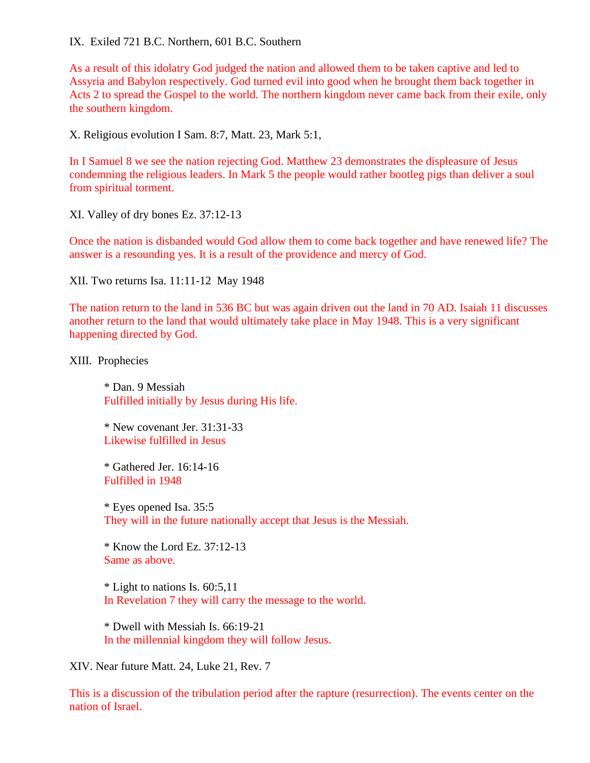## IX. Exiled 721 B.C. Northern, 601 B.C. Southern

As a result of this idolatry God judged the nation and allowed them to be taken captive and led to Assyria and Babylon respectively. God turned evil into good when he brought them back together in Acts 2 to spread the Gospel to the world. The northern kingdom never came back from their exile, only the southern kingdom.

X. Religious evolution I Sam. 8:7, Matt. 23, Mark 5:1,

In I Samuel 8 we see the nation rejecting God. Matthew 23 demonstrates the displeasure of Jesus condemning the religious leaders. In Mark 5 the people would rather bootleg pigs than deliver a soul from spiritual torment.

XI. Valley of dry bones Ez. 37:12-13

Once the nation is disbanded would God allow them to come back together and have renewed life? The answer is a resounding yes. It is a result of the providence and mercy of God.

XII. Two returns Isa. 11:11-12 May 1948

The nation return to the land in 536 BC but was again driven out the land in 70 AD. Isaiah 11 discusses another return to the land that would ultimately take place in May 1948. This is a very significant happening directed by God.

XIII. Prophecies

\* Dan. 9 Messiah Fulfilled initially by Jesus during His life.

\* New covenant Jer. 31:31-33 Likewise fulfilled in Jesus

\* Gathered Jer. 16:14-16 Fulfilled in 1948

\* Eyes opened Isa. 35:5 They will in the future nationally accept that Jesus is the Messiah.

 $*$  Know the Lord Ez. 37:12-13 Same as above.

\* Light to nations Is. 60:5,11 In Revelation 7 they will carry the message to the world.

\* Dwell with Messiah Is. 66:19-21 In the millennial kingdom they will follow Jesus.

XIV. Near future Matt. 24, Luke 21, Rev. 7

This is a discussion of the tribulation period after the rapture (resurrection). The events center on the nation of Israel.